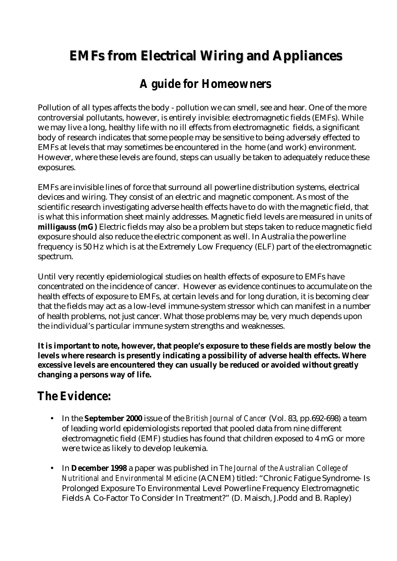# **EMFs from Electrical Wiring and Appliances**

## *A guide for Homeowners*

Pollution of all types affects the body - pollution we can smell, see and hear. One of the more controversial pollutants, however, is entirely invisible: electromagnetic fields (EMFs). While we may live a long, healthy life with no ill effects from electromagnetic fields, a significant body of research indicates that some people may be sensitive to being adversely effected to EMFs at levels that may sometimes be encountered in the home (and work) environment. However, where these levels are found, steps can usually be taken to adequately reduce these exposures.

EMFs are invisible lines of force that surround all powerline distribution systems, electrical devices and wiring. They consist of an electric and magnetic component. As most of the scientific research investigating adverse health effects have to do with the magnetic field, that is what this information sheet mainly addresses. Magnetic field levels are measured in units of **milligauss (mG)** Electric fields may also be a problem but steps taken to reduce magnetic field exposure should also reduce the electric component as well. In Australia the powerline frequency is 50 Hz which is at the Extremely Low Frequency (ELF) part of the electromagnetic spectrum.

Until very recently epidemiological studies on health effects of exposure to EMFs have concentrated on the incidence of cancer. However as evidence continues to accumulate on the health effects of exposure to EMFs, at certain levels and for long duration, it is becoming clear that the fields may act as a low-level immune-system stressor which can manifest in a number of health problems, not just cancer. What those problems may be, very much depends upon the individual's particular immune system strengths and weaknesses.

**It is important to note, however, that people's exposure to these fields are mostly below the levels where research is presently indicating a possibility of adverse health effects. Where excessive levels are encountered they can usually be reduced or avoided without greatly changing a persons way of life.**

### *The Evidence:*

- In the **September 2000** issue of the *British Journal of Cancer* (Vol. 83, pp.692-698) a team of leading world epidemiologists reported that pooled data from nine different electromagnetic field (EMF) studies has found that children exposed to 4 mG or more were twice as likely to develop leukemia.
- In **December 1998** a paper was published in *The Journal of the Australian College of Nutritional and Environmental Medicine* (ACNEM) titled: "Chronic Fatigue Syndrome- Is Prolonged Exposure To Environmental Level Powerline Frequency Electromagnetic Fields A Co-Factor To Consider In Treatment?" (D. Maisch, J.Podd and B. Rapley)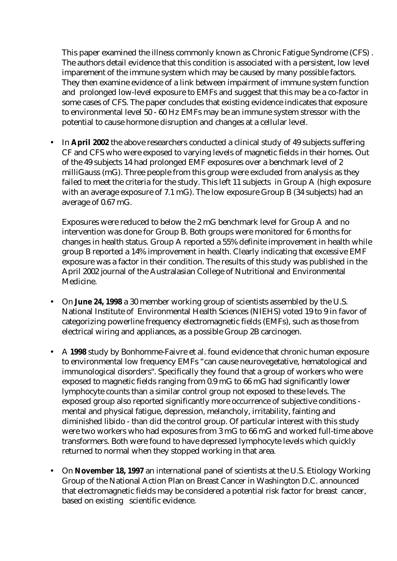This paper examined the illness commonly known as Chronic Fatigue Syndrome (CFS) . The authors detail evidence that this condition is associated with a persistent, low level imparement of the immune system which may be caused by many possible factors. They then examine evidence of a link between impairment of immune system function and prolonged low-level exposure to EMFs and suggest that this may be a co-factor in some cases of CFS. The paper concludes that existing evidence indicates that exposure to environmental level 50 - 60 Hz EMFs may be an immune system stressor with the potential to cause hormone disruption and changes at a cellular level.

• In **April 2002** the above researchers conducted a clinical study of 49 subjects suffering CF and CFS who were exposed to varying levels of magnetic fields in their homes. Out of the 49 subjects 14 had prolonged EMF exposures over a benchmark level of 2 milliGauss (mG). Three people from this group were excluded from analysis as they failed to meet the criteria for the study. This left 11 subjects in Group A (high exposure with an average exposure of 7.1 mG). The low exposure Group B (34 subjects) had an average of 0.67 mG.

Exposures were reduced to below the 2 mG benchmark level for Group A and no intervention was done for Group B. Both groups were monitored for 6 months for changes in health status. Group A reported a 55% definite improvement in health while group B reported a 14% improvement in health. Clearly indicating that excessive EMF exposure was a factor in their condition. The results of this study was published in the April 2002 journal of the Australasian College of Nutritional and Environmental Medicine.

- On **June 24, 1998** a 30 member working group of scientists assembled by the U.S. National Institute of Environmental Health Sciences (NIEHS) voted 19 to 9 in favor of categorizing powerline frequency electromagnetic fields (EMFs), such as those from electrical wiring and appliances, as a possible Group 2B carcinogen.
- A **1998** study by Bonhomme-Faivre et al. found evidence that chronic human exposure to environmental low frequency EMFs "can cause neurovegetative, hematological and immunological disorders". Specifically they found that a group of workers who were exposed to magnetic fields ranging from 0.9 mG to 66 mG had significantly lower lymphocyte counts than a similar control group not exposed to these levels. The exposed group also reported significantly more occurrence of subjective conditions mental and physical fatigue, depression, melancholy, irritability, fainting and diminished libido - than did the control group. Of particular interest with this study were two workers who had exposures from 3 mG to 66 mG and worked full-time above transformers. Both were found to have depressed lymphocyte levels which quickly returned to normal when they stopped working in that area.
- On **November 18, 1997** an international panel of scientists at the U.S. Etiology Working Group of the National Action Plan on Breast Cancer in Washington D.C. announced that electromagnetic fields may be considered a potential risk factor for breast cancer, based on existing scientific evidence.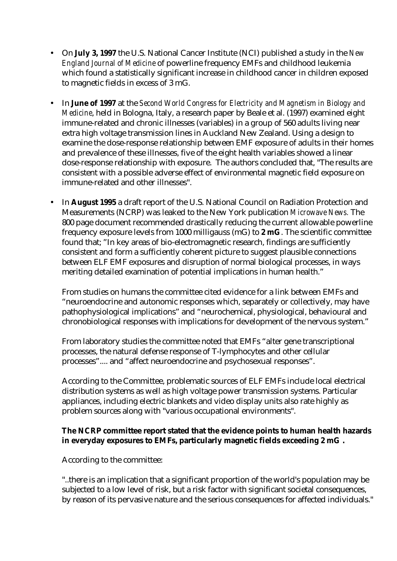- On **July 3, 1997** the U.S. National Cancer Institute (NCI) published a study in the *New England Journal of Medicine* of powerline frequency EMFs and childhood leukemia which found a statistically significant increase in childhood cancer in children exposed to magnetic fields in excess of 3 mG.
- In **June of 1997** at the *Second World Congress for Electricity and Magnetism in Biology and Medicine*, held in Bologna, Italy, a research paper by Beale et al. (1997) examined eight immune-related and chronic illnesses (variables) in a group of 560 adults living near extra high voltage transmission lines in Auckland New Zealand. Using a design to examine the dose-response relationship between EMF exposure of adults in their homes and prevalence of these illnesses, five of the eight health variables showed a linear dose-response relationship with exposure. The authors concluded that, "The results are consistent with a possible adverse effect of environmental magnetic field exposure on immune-related and other illnesses".
- In **August 1995** a draft report of the U.S. National Council on Radiation Protection and Measurements (NCRP) was leaked to the New York publication *Microwave News.* The 800 page document recommended drastically reducing the current allowable powerline frequency exposure levels from 1000 milligauss (mG) to **2 mG**. The scientific committee found that; "In key areas of bio-electromagnetic research, findings are sufficiently consistent and form a sufficiently coherent picture to suggest plausible connections between ELF EMF exposures and disruption of normal biological processes, in ways meriting detailed examination of potential implications in human health."

From studies on humans the committee cited evidence for a link between EMFs and "neuroendocrine and autonomic responses which, separately or collectively, may have pathophysiological implications" and "neurochemical, physiological, behavioural and chronobiological responses with implications for development of the nervous system."

From laboratory studies the committee noted that EMFs "alter gene transcriptional processes, the natural defense response of T-lymphocytes and other cellular processes".... and "affect neuroendocrine and psychosexual responses".

According to the Committee, problematic sources of ELF EMFs include local electrical distribution systems as well as high voltage power transmission systems. Particular appliances, including electric blankets and video display units also rate highly as problem sources along with "various occupational environments".

#### **The NCRP committee report stated that the evidence points to human health hazards in everyday exposures to EMFs, particularly magnetic fields exceeding 2 mG .**

According to the committee:

"..there is an implication that a significant proportion of the world's population may be subjected to a low level of risk, but a risk factor with significant societal consequences, by reason of its pervasive nature and the serious consequences for affected individuals."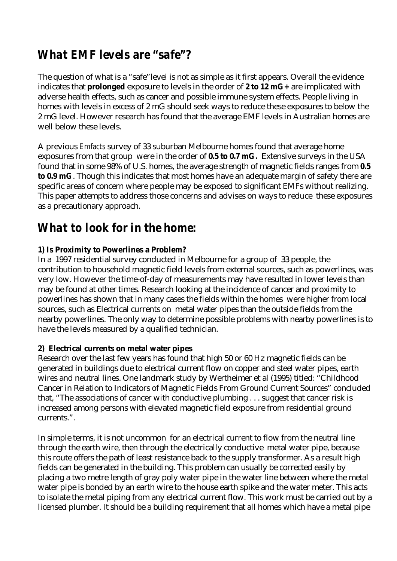### *What EMF levels are "safe"?*

The question of what is a "safe"level is not as simple as it first appears. Overall the evidence indicates that **prolonged** exposure to levels in the order of **2 to 12 mG+** are implicated with adverse health effects, such as cancer and possible immune system effects. People living in homes with levels in excess of 2 mG should seek ways to reduce these exposures to below the 2 mG level. However research has found that the average EMF levels in Australian homes are well below these levels.

A previous *Emfacts* survey of 33 suburban Melbourne homes found that average home exposures from that group were in the order of **0.5 to 0.7 mG.** Extensive surveys in the USA found that in some 98% of U.S. homes, the average strength of magnetic fields ranges from **0.5 to 0.9 mG**. Though this indicates that most homes have an adequate margin of safety there are specific areas of concern where people may be exposed to significant EMFs without realizing. This paper attempts to address those concerns and advises on ways to reduce these exposures as a precautionary approach.

### *What to look for in the home:*

#### **1) Is Proximity to Powerlines a Problem?**

In a 1997 residential survey conducted in Melbourne for a group of 33 people, the contribution to household magnetic field levels from external sources, such as powerlines, was very low. However the time-of-day of measurements may have resulted in lower levels than may be found at other times. Research looking at the incidence of cancer and proximity to powerlines has shown that in many cases the fields within the homes were higher from local sources, such as Electrical currents on metal water pipes than the outside fields from the nearby powerlines. The only way to determine possible problems with nearby powerlines is to have the levels measured by a qualified technician.

#### **2) Electrical currents on metal water pipes**

Research over the last few years has found that high 50 or 60 Hz magnetic fields can be generated in buildings due to electrical current flow on copper and steel water pipes, earth wires and neutral lines. One landmark study by Wertheimer et al (1995) titled: "Childhood Cancer in Relation to Indicators of Magnetic Fields From Ground Current Sources" concluded that, "The associations of cancer with conductive plumbing . . . suggest that cancer risk is increased among persons with elevated magnetic field exposure from residential ground currents.".

In simple terms, it is not uncommon for an electrical current to flow from the neutral line through the earth wire, then through the electrically conductive metal water pipe, because this route offers the path of least resistance back to the supply transformer. As a result high fields can be generated in the building. This problem can usually be corrected easily by placing a two metre length of gray poly water pipe in the water line between where the metal water pipe is bonded by an earth wire to the house earth spike and the water meter. This acts to isolate the metal piping from any electrical current flow. This work must be carried out by a licensed plumber. It should be a building requirement that all homes which have a metal pipe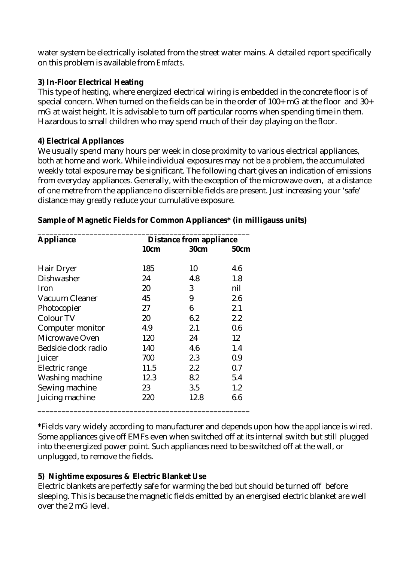water system be electrically isolated from the street water mains. A detailed report specifically on this problem is available from *Emfacts.*

#### **3) In-Floor Electrical Heating**

This type of heating, where energized electrical wiring is embedded in the concrete floor is of special concern. When turned on the fields can be in the order of 100+ mG at the floor and 30+ mG at waist height. It is advisable to turn off particular rooms when spending time in them. Hazardous to small children who may spend much of their day playing on the floor.

#### **4) Electrical Appliances**

We usually spend many hours per week in close proximity to various electrical appliances, both at home and work. While individual exposures may not be a problem, the accumulated weekly total exposure may be significant. The following chart gives an indication of emissions from everyday appliances. Generally, with the exception of the microwave oven, at a distance of one metre from the appliance no discernible fields are present. Just increasing your 'safe' distance may greatly reduce your cumulative exposure.

| <b>Appliance</b>      | <b>Distance from appliance</b> |             |             |
|-----------------------|--------------------------------|-------------|-------------|
|                       | 10cm                           | <b>30cm</b> | <b>50cm</b> |
| <b>Hair Dryer</b>     | 185                            | 10          | 4.6         |
| <b>Dishwasher</b>     | 24                             | 4.8         | 1.8         |
| Iron                  | 20                             | 3           | nil         |
| Vacuum Cleaner        | 45                             | 9           | 2.6         |
| Photocopier           | 27                             | 6           | 2.1         |
| <b>Colour TV</b>      | 20                             | 6.2         | 2.2         |
| Computer monitor      | 4.9                            | 2.1         | 0.6         |
| <b>Microwave Oven</b> | 120                            | 24          | 12          |
| Bedside clock radio   | 140                            | 4.6         | 1.4         |
| Juicer                | 700                            | 2.3         | 0.9         |
| Electric range        | 11.5                           | 2.2         | 0.7         |
| Washing machine       | 12.3                           | 8.2         | 5.4         |
| Sewing machine        | 23                             | 3.5         | 1.2         |
| Juicing machine       | 220                            | 12.8        | 6.6         |

#### **Sample of Magnetic Fields for Common Appliances\* (in milligauss units)**

**\***Fields vary widely according to manufacturer and depends upon how the appliance is wired. Some appliances give off EMFs even when switched off at its internal switch but still plugged into the energized power point. Such appliances need to be switched off at the wall, or unplugged, to remove the fields.

#### **5) Nightime exposures & Electric Blanket Use**

Electric blankets are perfectly safe for warming the bed but should be turned off before sleeping. This is because the magnetic fields emitted by an energised electric blanket are well over the 2 mG level.